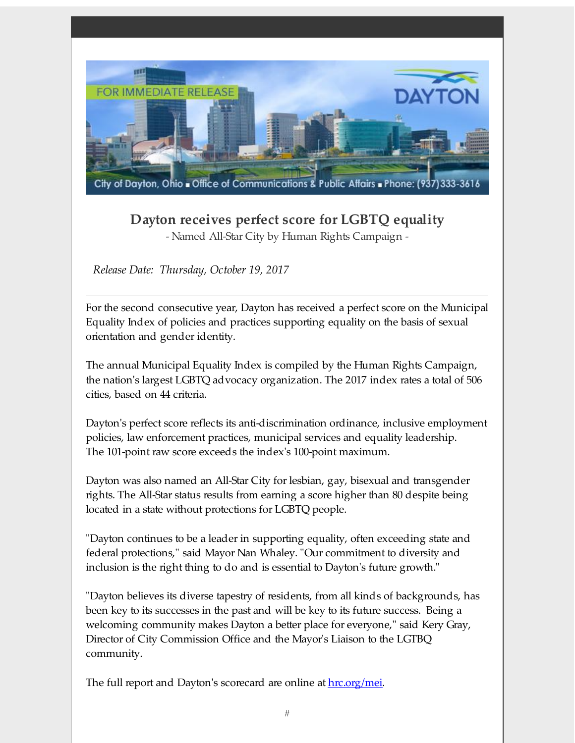

## **Dayton receives perfect score for LGBTQ equality** - Named All-Star City by Human Rights Campaign -

*Release Date: Thursday, October 19, 2017*

For the second consecutive year, Dayton has received a perfect score on the Municipal Equality Index of policies and practices supporting equality on the basis of sexual orientation and gender identity.

The annual Municipal Equality Index is compiled by the Human Rights Campaign, the nation's largest LGBTQ advocacy organization. The 2017 index rates a total of 506 cities, based on 44 criteria.

Dayton's perfect score reflects its anti-discrimination ordinance, inclusive employment policies, law enforcement practices, municipal services and equality leadership. The 101-point raw score exceeds the index's 100-point maximum.

Dayton was also named an All-Star City for lesbian, gay, bisexual and transgender rights. The All-Star status results from earning a score higher than 80 despite being located in a state without protections for LGBTQ people.

"Dayton continues to be a leader in supporting equality, often exceeding state and federal protections," said Mayor Nan Whaley. "Our commitment to diversity and inclusion is the right thing to do and is essential to Dayton's future growth."

"Dayton believes its diverse tapestry of residents, from all kinds of backgrounds, has been key to its successes in the past and will be key to its future success. Being a welcoming community makes Dayton a better place for everyone," said Kery Gray, Director of City Commission Office and the Mayor's Liaison to the LGTBQ community.

The full report and Dayton's scorecard are online at <u>[hrc.org/mei](http://r20.rs6.net/tn.jsp?f=00112uAXiVkKCORZZHwXxgBXr51fMhvY4Vzg3z5aa-m_jVDo-E_aIqei6LPtPf-rMksRhridSHjTlfEORtu4NnlT9KOE8ooHN7z4_wHWPApE_-Gzx3ujF6jtDXrDOrUiMyeXcakqyk3K3TudL-xxE38fkV8eSvhR5P-Y1Xg7cHjW6M=&c=&ch=)</u>.